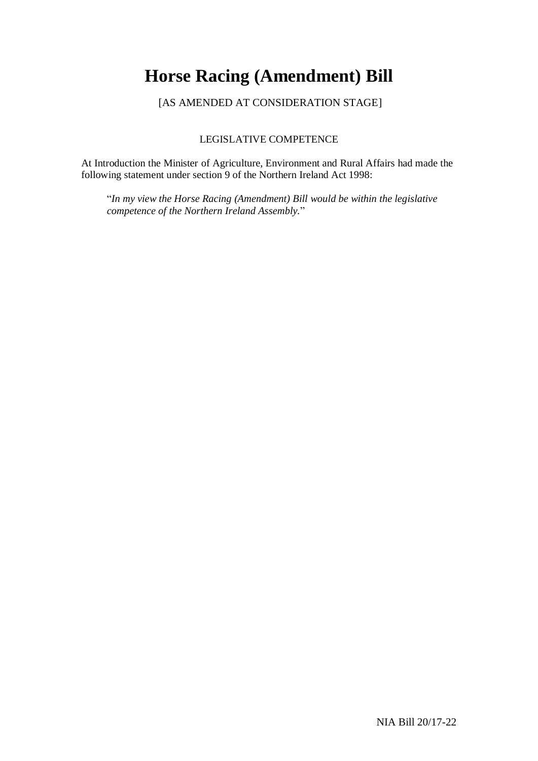## **Horse Racing (Amendment) Bill**

[AS AMENDED AT CONSIDERATION STAGE]

### LEGISLATIVE COMPETENCE

At Introduction the Minister of Agriculture, Environment and Rural Affairs had made the following statement under section 9 of the Northern Ireland Act 1998:

"*In my view the Horse Racing (Amendment) Bill would be within the legislative competence of the Northern Ireland Assembly.*"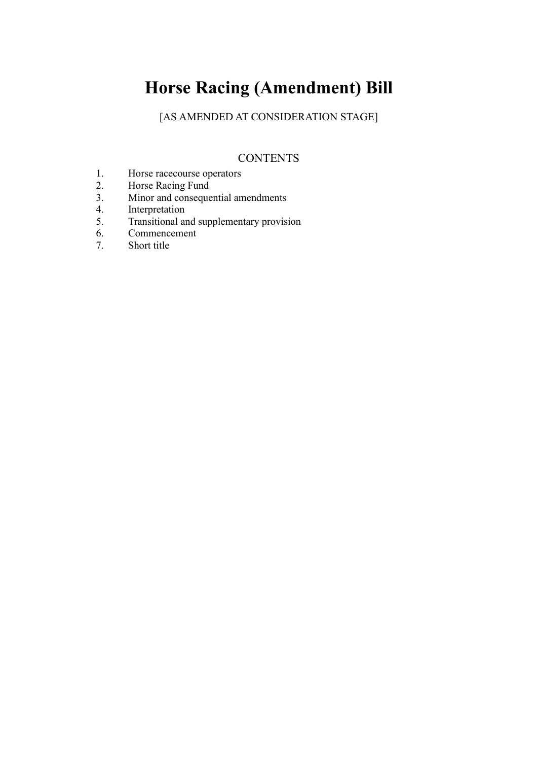# **Horse Racing (Amendment) Bill**

[AS AMENDED AT CONSIDERATION STAGE]

## **CONTENTS**

- 1. Horse racecourse operators<br>2. Horse Racing Fund
- 2. Horse Racing Fund<br>3. Minor and conseque
- Minor and consequential amendments
- 4. Interpretation
- 5. Transitional and supplementary provision<br>6. Commencement
- 6. Commencement<br>7. Short title
- Short title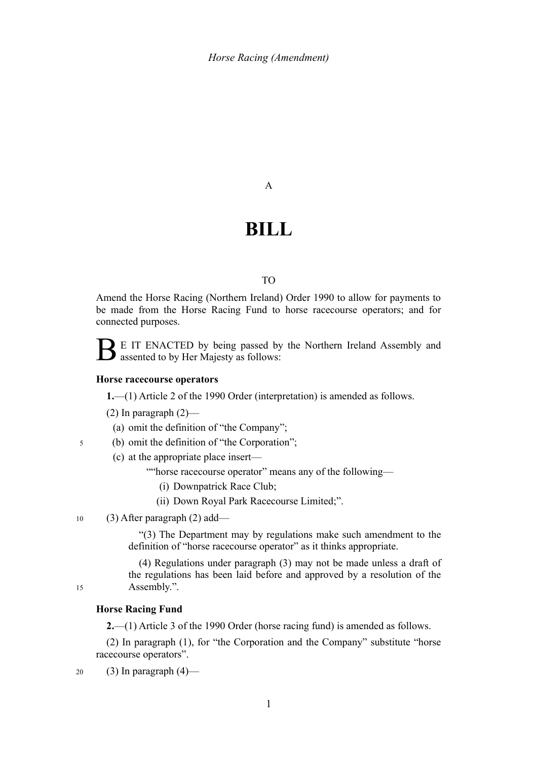A

## **BILL**

#### TO

Amend the Horse Racing (Northern Ireland) Order 1990 to allow for payments to be made from the Horse Racing Fund to horse racecourse operators; and for connected purposes.

B E IT ENACTED by being passed by the Northern Ireland Assembly and assented to by Her Majesty as follows:

#### **Horse racecourse operators**

**1.**—(1) Article 2 of the 1990 Order (interpretation) is amended as follows.

(2) In paragraph  $(2)$ —

- (a) omit the definition of "the Company";
- (b) omit the definition of "the Corporation"; 5

(c) at the appropriate place insert—

- ""horse racecourse operator" means any of the following—
	- (i) Downpatrick Race Club;
	- (ii) Down Royal Park Racecourse Limited;".
- (3) After paragraph (2) add— 10

"(3) The Department may by regulations make such amendment to the definition of "horse racecourse operator" as it thinks appropriate.

(4) Regulations under paragraph (3) may not be made unless a draft of the regulations has been laid before and approved by a resolution of the Assembly.".

15

#### **Horse Racing Fund**

**2.**—(1) Article 3 of the 1990 Order (horse racing fund) is amended as follows.

(2) In paragraph (1), for "the Corporation and the Company" substitute "horse racecourse operators".

(3) In paragraph  $(4)$ — 20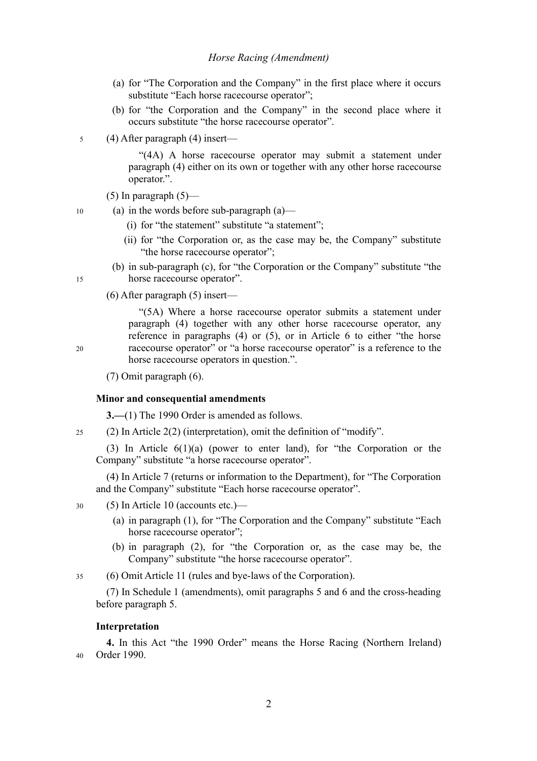#### *Horse Racing (Amendment)*

- (a) for "The Corporation and the Company" in the first place where it occurs substitute "Each horse racecourse operator":
- (b) for "the Corporation and the Company" in the second place where it occurs substitute "the horse racecourse operator".
- (4) After paragraph (4) insert— 5

"(4A) A horse racecourse operator may submit a statement under paragraph (4) either on its own or together with any other horse racecourse operator.".

- (5) In paragraph  $(5)$ —
- (a) in the words before sub-paragraph (a)— 10
	- (i) for "the statement" substitute "a statement";
	- (ii) for "the Corporation or, as the case may be, the Company" substitute "the horse racecourse operator";
	- (b) in sub-paragraph (c), for "the Corporation or the Company" substitute "the horse racecourse operator".
	- (6) After paragraph (5) insert—

"(5A) Where a horse racecourse operator submits a statement under paragraph (4) together with any other horse racecourse operator, any reference in paragraphs (4) or (5), or in Article 6 to either "the horse racecourse operator" or "a horse racecourse operator" is a reference to the horse racecourse operators in question.".

(7) Omit paragraph (6).

#### **Minor and consequential amendments**

**3.—**(1) The 1990 Order is amended as follows.

(2) In Article 2(2) (interpretation), omit the definition of "modify".  $25$ 

(3) In Article 6(1)(a) (power to enter land), for "the Corporation or the Company" substitute "a horse racecourse operator".

(4) In Article 7 (returns or information to the Department), for "The Corporation and the Company" substitute "Each horse racecourse operator".

- (5) In Article 10 (accounts etc.)— 30
	- (a) in paragraph (1), for "The Corporation and the Company" substitute "Each horse racecourse operator";
	- (b) in paragraph (2), for "the Corporation or, as the case may be, the Company" substitute "the horse racecourse operator".

(6) Omit Article 11 (rules and bye-laws of the Corporation). 35

(7) In Schedule 1 (amendments), omit paragraphs 5 and 6 and the cross-heading before paragraph 5.

#### **Interpretation**

**4.** In this Act "the 1990 Order" means the Horse Racing (Northern Ireland) Order 1990. 40

20

15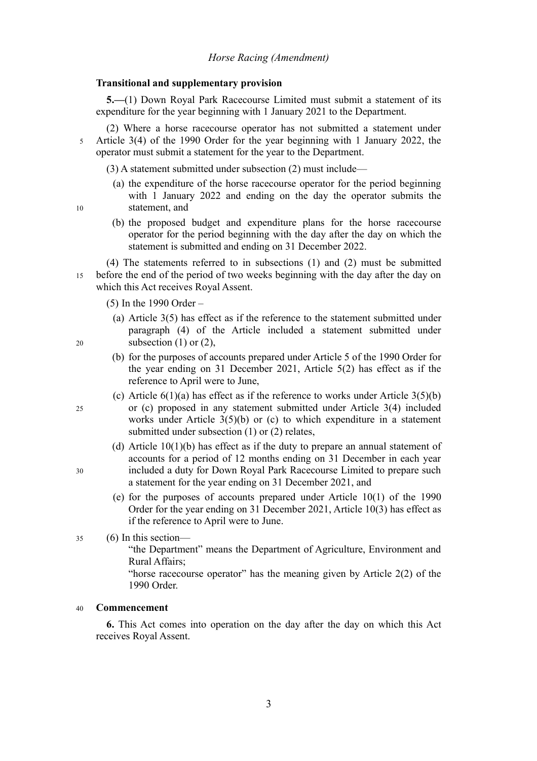#### **Transitional and supplementary provision**

**5.—**(1) Down Royal Park Racecourse Limited must submit a statement of its expenditure for the year beginning with 1 January 2021 to the Department.

(2) Where a horse racecourse operator has not submitted a statement under Article 3(4) of the 1990 Order for the year beginning with 1 January 2022, the operator must submit a statement for the year to the Department. 5

(3) A statement submitted under subsection (2) must include—

- (a) the expenditure of the horse racecourse operator for the period beginning with 1 January 2022 and ending on the day the operator submits the statement, and
- 10

20

25

30

(b) the proposed budget and expenditure plans for the horse racecourse operator for the period beginning with the day after the day on which the statement is submitted and ending on 31 December 2022.

(4) The statements referred to in subsections (1) and (2) must be submitted before the end of the period of two weeks beginning with the day after the day on which this Act receives Royal Assent. 15

(5) In the 1990 Order –

- (a) Article 3(5) has effect as if the reference to the statement submitted under paragraph (4) of the Article included a statement submitted under subsection (1) or (2).
- (b) for the purposes of accounts prepared under Article 5 of the 1990 Order for the year ending on 31 December 2021, Article 5(2) has effect as if the reference to April were to June,
- (c) Article  $6(1)(a)$  has effect as if the reference to works under Article  $3(5)(b)$ or (c) proposed in any statement submitted under Article 3(4) included works under Article 3(5)(b) or (c) to which expenditure in a statement submitted under subsection (1) or (2) relates,
- (d) Article 10(1)(b) has effect as if the duty to prepare an annual statement of accounts for a period of 12 months ending on 31 December in each year included a duty for Down Royal Park Racecourse Limited to prepare such a statement for the year ending on 31 December 2021, and
- (e) for the purposes of accounts prepared under Article 10(1) of the 1990 Order for the year ending on 31 December 2021, Article 10(3) has effect as if the reference to April were to June.
- (6) In this section— 35

"the Department" means the Department of Agriculture, Environment and Rural Affairs;

"horse racecourse operator" has the meaning given by Article 2(2) of the 1990 Order.

#### **Commencement**  40

**6.** This Act comes into operation on the day after the day on which this Act receives Royal Assent.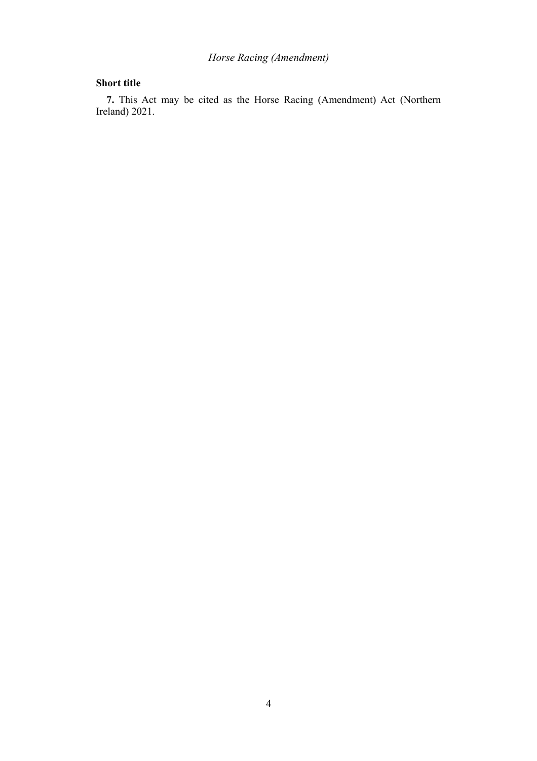## *Horse Racing (Amendment)*

### **Short title**

**7.** This Act may be cited as the Horse Racing (Amendment) Act (Northern Ireland) 2021.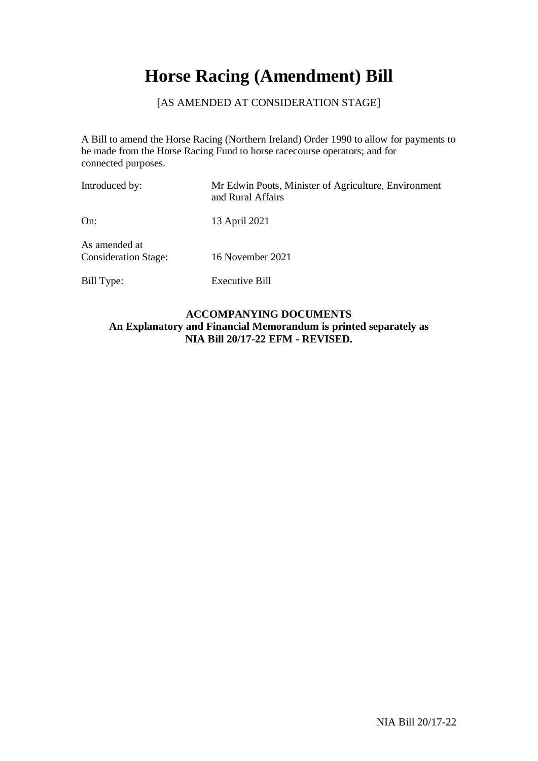# **Horse Racing (Amendment) Bill**

### [AS AMENDED AT CONSIDERATION STAGE]

A Bill to amend the Horse Racing (Northern Ireland) Order 1990 to allow for payments to be made from the Horse Racing Fund to horse racecourse operators; and for connected purposes.

| Introduced by:                               | Mr Edwin Poots, Minister of Agriculture, Environment<br>and Rural Affairs |
|----------------------------------------------|---------------------------------------------------------------------------|
| On:                                          | 13 April 2021                                                             |
| As amended at<br><b>Consideration Stage:</b> | 16 November 2021                                                          |
| Bill Type:                                   | Executive Bill                                                            |

### **ACCOMPANYING DOCUMENTS An Explanatory and Financial Memorandum is printed separately as NIA Bill 20/17-22 EFM - REVISED.**